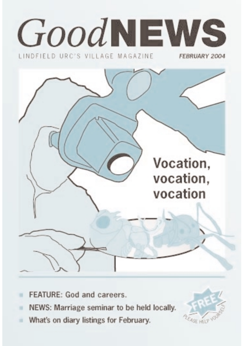

- FEATURE: God and careers. ×
- NEWS: Marriage seminar to be held locally. m
- What's on diary listings for February. a.

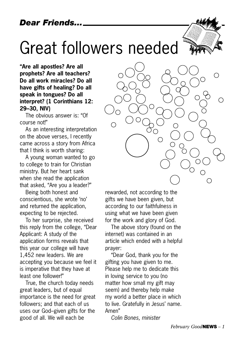## Great followers needed

**"Are all apostles? Are all prophets? Are all teachers? Do all work miracles? Do all have gifts of healing? Do all speak in tongues? Do all interpret? (1 Corinthians 12: 29–30, NIV)**

The obvious answer is: "Of course not!"

As an interesting interpretation on the above verses, I recently came across a story from Africa that I think is worth sharing:

A young woman wanted to go to college to train for Christian ministry. But her heart sank when she read the application that asked, "Are you a leader?"

Being both honest and conscientious, she wrote 'no' and returned the application, expecting to be rejected.

To her surprise, she received this reply from the college, "Dear Applicant: A study of the application forms reveals that this year our college will have 1,452 new leaders. We are accepting you because we feel it is imperative that they have at least one follower!"

True, the church today needs great leaders, but of equal importance is the need for great followers; and that each of us uses our God–given gifts for the good of all. We will each be



rewarded, not according to the gifts we have been given, but according to our faithfulness in using what we have been given for the work and glory of God.

The above story (found on the internet) was contained in an article which ended with a helpful prayer:

"Dear God, thank you for the gifting you have given to me. Please help me to dedicate this in loving service to you (no matter how small my gift may seem) and thereby help make my world a better place in which to live. Gratefully in Jesus' name. Amen"

*Colin Bones, minister*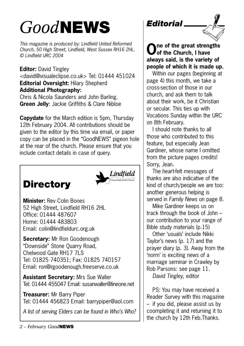## *Good***NEWS**

*This magazine is produced by: Lindfield United Reformed Church, 50 High Street, Lindfield, West Sussex RH16 2HL. © Lindfield URC 2004*

**Editor:** David Tingley <david@visualeclipse.co.uk> Tel: 01444 451024 **Editorial Oversight:** Hilary Shepherd **Additional Photography:** Chris & Nicola Saunders and John Barling.

**Green Jelly**: Jackie Griffiths & Clare Nibloe

**Copydate** for the March edition is 5pm, Thursday 12th February 2004. All contributions should be given to the editor by this time via email, or paper copy can be placed in the "GoodNEWS" pigeon hole at the rear of the church. Please ensure that you include contact details in case of query.

## **Directory**



**Minister:** Rev Colin Bones 52 High Street, Lindfield RH16 2HL Office: 01444 487607 Home: 01444 483803 Email: colin@lindfieldurc.org.uk

**Secretary:** Mr Ron Goodenough "Downside" Stone Quarry Road, Chelwood Gate RH17 7LS Tel: 01825 740351; Fax: 01825 740157 Email: ron@rgoodenough.freeserve.co.uk

**Assistant Secretary:** Mrs Sue Waller Tel: 01444 455047 Email: susanwaller@lineone.net

**Treasurer:** Mr Barry Piper Tel: 01444 456823 Email: barrypiper@aol.com

*A list of serving Elders can be found in Who's Who?*





**One of the great strengths of the Church, I have always said, is the variety of people of which it is made up.**

Within our pages (beginning at page 4) this month, we take a cross-section of those in our church, and ask them to talk about their work, be it Christian or secular. This ties up with Vocations Sunday within the URC on 8th February.

I should note thanks to all those who contributed to this feature, but especially Jean Gardiner, whose name I omitted from the picture pages credits! Sorry, Jean.

The heart-felt messages of thanks are also indicative of the kind of church/people we are too: another generous helping is served in *Family News* on page 8.

Mike Gardiner keeps us on track through the book of John – our contribution to your range of Bible study materials (p.15)

Other 'usuals' include Nikki Taylor's news (p. 17) and the prayer diary (p. 3). Away from the 'norm' is exciting news of a marriage seminar in Crawley by Rob Parsons: see page 11. *David Tingley,* editor

PS: You *may* have received a Reader Survey with this magazine – if you did, please assist us by coompleting it and returning it to the church by 12th Feb.Thanks.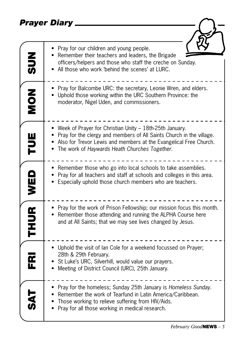## *Prayer Diary*

| $rac{2}{5}$    | Pray for our children and young people.<br>Remember their teachers and leaders, the Brigade<br>officers/helpers and those who staff the creche on Sunday.<br>All those who work 'behind the scenes' at LURC.                                              |
|----------------|-----------------------------------------------------------------------------------------------------------------------------------------------------------------------------------------------------------------------------------------------------------|
| NON            | Pray for Balcombe URC: the secretary, Leonie Wren, and elders.<br>Uphold those working within the URC Southern Province: the<br>moderator, Nigel Uden, and commissioners.                                                                                 |
| <b>TUE</b>     | • Week of Prayer for Christian Unity – 18th-25th January.<br>Pray for the clergy and members of All Saints Church in the village.<br>• Also for Trevor Lewis and members at the Evangelical Free Church.<br>The work of Haywards Heath Churches Together. |
| WED            | Remember those who go into local schools to take assemblies.<br>Pray for all teachers and staff at schools and colleges in this area.<br>Especially uphold those church members who are teachers.                                                         |
| <b>THUR</b>    | • Pray for the work of Prison Fellowship; our mission focus this month.<br>Remember those attending and running the ALPHA Course here<br>and at All Saints; that we may see lives changed by Jesus.                                                       |
| $\bf{\bar{g}}$ | • Uphold the visit of lan Cole for a weekend focussed on Prayer;<br>28th & 29th February.<br>St Luke's URC, Silverhill, would value our prayers.<br>Meeting of District Council (URC), 25th January.                                                      |
|                | • Pray for the homeless; Sunday 25th January is Homeless Sunday.<br>• Remember the work of Tearfund in Latin America/Caribbean.<br>Those working to relieve suffering from HIV/Aids.<br>Pray for all those working in medical research.                   |

 $\overline{\phantom{0}}$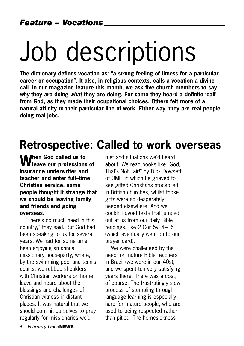# Job descriptions

**The dictionary defines vocation as: "a strong feeling of fitness for a particular career or occupation". It also, in religious contexts, calls a vocation a divine call. In our magazine feature this month, we ask five church members to say** *why* **they are doing** *what* **they are doing. For some they heard a definite 'call' from God, as they made their ocupational choices. Others felt more of a natural affinity to their particular line of work. Either way, they are real people doing real jobs.**

## **Retrospective: Called to work overseas**

**When God called us to leave our professions of insurance underwriter and teacher and enter full–time Christian service, some people thought it strange that we should be leaving family and friends and going overseas.**

"There's so much need in this country," they said. But God had been speaking to us for several years. We had for some time been enjoying an annual missionary houseparty, where, by the swimming pool and tennis courts, we rubbed shoulders with Christian workers on home leave and heard about the blessings and challenges of Christian witness in distant places. It was natural that we should commit ourselves to pray regularly for missionaries we'd

met and situations we'd heard about. We read books like "God, That's Not Fair!" by Dick Dowsett of OMF, in which he grieved to see gifted Christians stockpiled in British churches, whilst those gifts were so desperately needed elsewhere. And we couldn't avoid texts that jumped out at us from our daily Bible readings, like 2 Cor 5v14–15 (which eventually went on to our prayer card).

We were challenged by the need for mature Bible teachers in Brazil (we were in our 40s), and we spent ten very satisfying years there. There was a cost, of course. The frustratingly slow process of stumbling through language learning is especially hard for mature people, who are used to being respected rather than pitied. The homesickness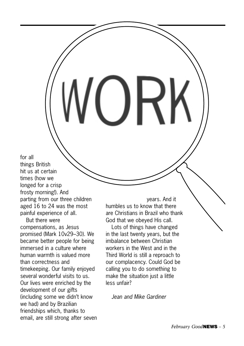for all things British hit us at certain times (how we longed for a crisp frosty morning!). And parting from our three children aged 16 to 24 was the most painful experience of all.

But there were compensations, as Jesus promised (Mark 10v29–30). We became better people for being immersed in a culture where human warmth is valued more than correctness and timekeeping. Our family enjoyed several wonderful visits to us. Our lives were enriched by the development of our gifts (including some we didn't know we had) and by Brazilian friendships which, thanks to email, are still strong after seven

years. And it humbles us to know that there are Christians in Brazil who thank God that we obeyed His call.

Lots of things have changed in the last twenty years, but the imbalance between Christian workers in the West and in the Third World is still a reproach to our complacency. Could God be calling you to do something to make the situation just a little less unfair?

*Jean and Mike Gardiner*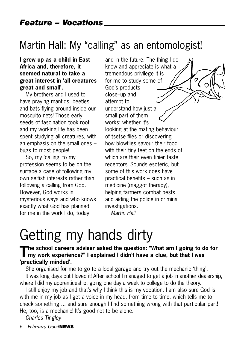## Martin Hall: My "calling" as an entomologist!

#### **I grew up as a child in East Africa and, therefore, it seemed natural to take a great interest in 'all creatures great and small'.**

My brothers and I used to have praying mantids, beetles and bats flying around inside our mosquito nets! Those early seeds of fascination took root and my working life has been spent studying all creatures, with an emphasis on the small ones – bugs to most people!

So, my 'calling' to my profession seems to be on the surface a case of following my own selfish interests rather than following a calling from God. However, God works in mysterious ways and who knows exactly what God has planned for me in the work I do, today

and in the future. The thing I do know and appreciate is what a tremendous privilege it is  $\sigma$ for me to study some of God's products close–up and attempt to understand how just a small part of them works: whether it's looking at the mating behaviour of tsetse flies or discovering how blowflies savour their food with their tiny feet on the ends of which are their even tinier taste receptors! Sounds esoteric, but some of this work does have practical benefits – such as in medicine (maggot therapy), helping farmers combat pests and aiding the police in criminal investigations. *Martin Hall*

## Getting my hands dirty

## **The school careers adviser asked the question: "What am I going to do for my work experience?" I explained I didn't have a clue, but that I was 'practically minded'.**

She organised for me to go to a local garage and try out the mechanic 'thing'. It was long days but I loved it! After school I managed to get a job in another dealership, where I did my apprenticeship, going one day a week to college to do the theory.

I still enjoy my job and that's why I think this is my vocation. I am also sure God is with me in my job as I get a voice in my head, from time to time, which tells me to check something ... and sure enough I find something wrong with that particular part! He, too, is a mechanic! It's good not to be alone.

*Charles Tingley*

*6 – February Good***NEWS**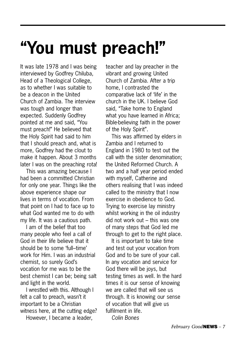## **"You must preach!"**

It was late 1978 and I was being interviewed by Godfrey Chiluba, Head of a Theological College, as to whether I was suitable to be a deacon in the United Church of Zambia. The interview was tough and longer than expected. Suddenly Godfrey pointed at me and said, "You must preach!" He believed that the Holy Spirit had said to him that I should preach and, what is more, Godfrey had the clout to make it happen. About 3 months later I was on the preaching rota!

This was amazing because I had been a committed Christian for only one year. Things like the above experience shape our lives in terms of vocation. From that point on I had to face up to what God wanted me to do with my life. It was a cautious path.

I am of the belief that too many people who feel a call of God in their life believe that it should be to some 'full–time' work for Him. I was an industrial chemist, so surely God's vocation for me was to be the best chemist I can be; being salt and light in the world.

I wrestled with this. Although I felt a call to preach, wasn't it important to be a Christian witness here, at the cutting edge? However, I became a leader,

teacher and lay preacher in the vibrant and growing United Church of Zambia. After a trip home, I contrasted the comparative lack of 'life' in the church in the UK. I believe God said, "Take home to England what you have learned in Africa; Bible-believing faith in the power of the Holy Spirit".

This was affirmed by elders in Zambia and I returned to England in 1980 to test out the call with the sister denomination; the United Reformed Church. A two and a half year period ended with myself, Catherine and others realising that I was indeed called to the ministry that I now exercise in obedience to God. Trying to exercise lay ministry whilst working in the oil industry did not work out – this was one of many steps that God led me through to get to the right place.

It is important to take time and test out your vocation from God and to be sure of your call. In any vocation and service for God there will be joys, but testing times as well. In the hard times it is our sense of knowing we are called that will see us through. It is knowing our sense of vocation that will give us fulfilment in life. *Colin Bones*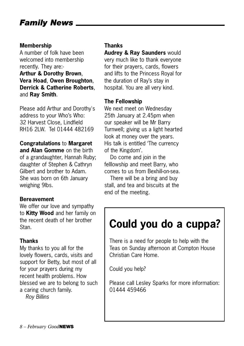## *Family News*

#### **Membership**

A number of folk have been welcomed into membership recently. They are:-

**Arthur & Dorothy Brown**, **Vera Hoad**, **Owen Broughton**, **Derrick & Catherine Roberts**, and **Ray Smith**.

Please add Arthur and Dorothy's address to your Who's Who: 32 Harvest Close, Lindfield RH16 2LW. Tel 01444 482169

### **Congratulations** to **Margaret**

**and Alan Gomme** on the birth of a grandaughter, Hannah Ruby; daughter of Stephen & Cathryn Gilbert and brother to Adam. She was born on 6th January weighing 9lbs.

### **Bereavement**

We offer our love and sympathy to **Kitty Wood** and her family on the recent death of her brother Stan.

### **Thanks**

My thanks to you all for the lovely flowers, cards, visits and support for Betty, but most of all for your prayers during my recent health problems. How blessed we are to belong to such a caring church family. *Roy Billins*

#### **Thanks**

**Audrey & Ray Saunders** would very much like to thank everyone for their prayers, cards, flowers and lifts to the Princess Royal for the duration of Ray's stay in hospital. You are all very kind.

#### **The Fellowship**

We next meet on Wednesday 25th January at 2.45pm when our speaker will be Mr Barry Turnwell; giving us a light hearted look at money over the years. His talk is entitled 'The currency of the Kingdom'.

Do come and join in the felllowship and meet Barry, who comes to us from Bexhill-on-sea.

There will be a bring and buy stall, and tea and biscuits at the end of the meeting.

## **Could you do a cuppa?**

There is a need for people to help with the Teas on Sunday afternoon at Compton House Christian Care Home.

Could you help?

Please call Lesley Sparks for more information: 01444 459466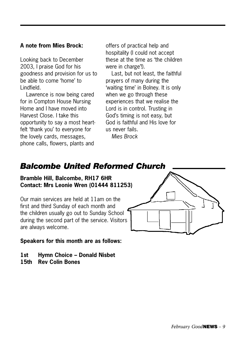### **A note from Mies Brock:**

Looking back to December 2003, I praise God for his goodness and provision for us to be able to come 'home' to Lindfield.

Lawrence is now being cared for in Compton House Nursing Home and I have moved into Harvest Close. I take this opportunity to say a most heartfelt 'thank you' to everyone for the lovely cards, messages, phone calls, flowers, plants and

offers of practical help and hospitality (I could not accept these at the time as 'the children were in charge'!).

Last, but not least, the faithful prayers of many during the 'waiting time' in Bolney. It is only when we go through these experiences that we realise the Lord is in control. Trusting in God's timing is not easy, but God is faithful and His love for us never fails.

*Mies Brock*

### *Balcombe United Reformed Church*

**Bramble Hill, Balcombe, RH17 6HR Contact: Mrs Leonie Wren (01444 811253)**

Our main services are held at 11am on the first and third Sunday of each month and the children usually go out to Sunday School during the second part of the service. Visitors are always welcome.



#### **Speakers for this month are as follows:**

- **1st Hymn Choice Donald Nisbet**
- **15th Rev Colin Bones**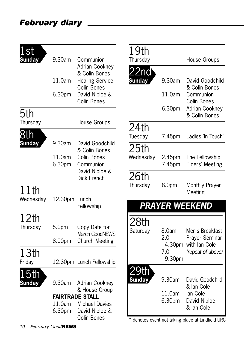## *February diary*

| .st           |               |                                        | 19th                          |                   |                                                 |
|---------------|---------------|----------------------------------------|-------------------------------|-------------------|-------------------------------------------------|
| <b>Sunday</b> | 9.30am        | Communion                              | Thursday                      |                   | House Groups                                    |
|               |               | <b>Adrian Cookney</b><br>& Colin Bones | 22nd                          |                   |                                                 |
|               | 11.0am        | <b>Healing Service</b><br>Colin Bones  | <b>Sunday</b>                 | 9.30am            | David Goodchild<br>& Colin Bones                |
|               | 6.30pm        | David Nibloe &<br>Colin Bones          |                               | 11.0am            | Communion<br>Colin Bones                        |
| 5th           |               |                                        |                               | 6.30pm            | <b>Adrian Cookney</b><br>& Colin Bones          |
| Thursday      |               | House Groups                           |                               |                   |                                                 |
| 8th           |               |                                        | 24th                          |                   |                                                 |
| <b>Sunday</b> | 9.30am        | David Goodchild                        | Tuesday                       | 7.45pm            | Ladies 'In Touch'                               |
|               |               | & Colin Bones                          | 25th                          |                   |                                                 |
|               | 11.0am        | Colin Bones                            | Wednesday                     | 2.45pm            | The Fellowship                                  |
|               | 6.30pm        | Communion<br>David Nibloe &            |                               | 7.45pm            | Elders' Meeting                                 |
|               |               | Dick French                            | 26th                          |                   |                                                 |
| 11th          |               |                                        | Thursday                      | 8.0pm             | Monthly Prayer<br>Meeting                       |
| Wednesday     | 12.30pm Lunch | Fellowship                             |                               |                   | <b>PRAYER WEEKEND</b>                           |
| 12th          |               |                                        |                               |                   |                                                 |
| Thursday      | 5.0pm         | Copy Date for<br><b>March GoodNEWS</b> | 28th<br>Saturday              | 8.0am             | Men's Breakfast                                 |
|               | 8.00pm        | <b>Church Meeting</b>                  |                               | $2.0 -$           | Prayer Seminar                                  |
|               |               |                                        |                               | 4.30pm<br>$7.0 -$ | with lan Cole<br>(repeat of above)              |
| 13th          |               |                                        |                               | 9.30pm            |                                                 |
| Friday        |               | 12.30pm Lunch Fellowship               |                               |                   |                                                 |
| 5th           |               |                                        | <u> 29th</u><br><b>Sunday</b> | 9.30am            | David Goodchild                                 |
| <b>Sunday</b> | 9.30am        | Adrian Cookney<br>& House Group        |                               |                   | & lan Cole                                      |
|               |               | <b>FAIRTRADE STALL</b>                 |                               | 11.0am<br>6.30pm  | lan Cole<br>David Nibloe                        |
|               | 11.0am        | <b>Michael Davies</b>                  |                               |                   | & lan Cole                                      |
|               | 6.30pm        | David Nibloe &<br>Colin Bones          |                               |                   |                                                 |
|               |               |                                        |                               |                   | denotes event not taking place at Lindfield URC |

*10 – February Good***NEWS**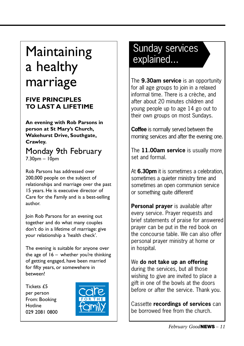## Maintaining Sunday serves and the Maintaining Sunday Serves and Mainted... a healthy marriage

### **FIVE PRINCIPLES TO LAST A LIFETIME**

**An evening with Rob Parsons in person at St Mary's Church, Wakehurst Drive, Southgate, Crawley.**

### Monday 9th February  $7.30<sub>pm</sub> - 10<sub>pm</sub>$

Rob Parsons has addressed over 200,000 people on the subject of relationships and marriage over the past 15 years. He is executive director of Care for the Family and is a best-selling author.

Join Rob Parsons for an evening out together and do what many couples don't do in a lifetime of marriage: give your relationship a 'health check'.

The evening is suitable for anyone over the age of  $16 -$  whether you're thinking of getting engaged, have been married for fifty years, or somewehere in between!

Tickets £5 per person From: Booking Hotline 029 2081 0800



# Sunday services

The **9.30am service** is an opportunity for all age groups to join in a relaxed informal time. There is a crèche, and after about 20 minutes children and young people up to age 14 go out to their own groups on most Sundays.

**Coffee** is normally served between the morning services and after the evening one.

The **11.00am service** is usually more set and formal.

At **6.30pm** it is sometimes a celebration, sometimes a quieter ministry time and sometimes an open communion service or something quite different!

**Personal prayer** is available after every service. Prayer requests and brief statements of praise for answered prayer can be put in the red book on the concourse table. We can also offer personal prayer ministry at home or in hospital.

### We **do not take up an offering** during the services, but all those wishing to give are invited to place a gift in one of the bowls at the doors before or after the service. Thank you.

Cassette **recordings of services** can be borrowed free from the church.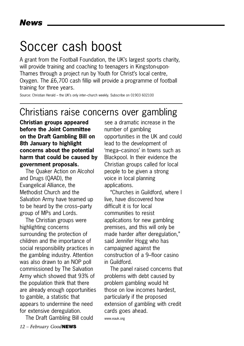## Soccer cash boost

A grant from the Football Foundation, the UK's largest sports charity, will provide training and coaching to teenagers in Kingston-upon-Thames through a project run by Youth for Christ's local centre, Oxygen. The £6,700 cash fillip will provide a programme of football training for three years.

Source: Christian Herald – the UK's only inter–church weekly. Subscribe on 01903 602100

## Christians raise concerns over gambling

**Christian groups appeared before the Joint Committee on the Draft Gambling Bill on 8th January to highlight concerns about the potential harm that could be caused by government proposals.**

The Quaker Action on Alcohol and Drugs (QAAD), the Evangelical Alliance, the Methodist Church and the Salvation Army have teamed up to be heard by the cross–party group of MPs and Lords.

The Christian groups were highlighting concerns surrounding the protection of children and the importance of social responsibility practices in the gambling industry. Attention was also drawn to an NOP poll commissioned by The Salvation Army which showed that 93% of the population think that there are already enough opportunities to gamble, a statistic that appears to undermine the need for extensive deregulation.

The Draft Gambling Bill could

see a dramatic increase in the number of gambling opportunities in the UK and could lead to the development of 'mega–casinos' in towns such as Blackpool. In their evidence the Christian groups called for local people to be given a strong voice in local planning applications.

"Churches in Guildford, where I live, have discovered how difficult it is for local communities to resist applications for new gambling premises, and this will only be made harder after deregulation," said Jennifer Hogg who has campaigned against the construction of a 9–floor casino in Guildford.

The panel raised concerns that problems with debt caused by problem gambling would hit those on low incomes hardest, particularly if the proposed extension of gambling with credit cards goes ahead.

www.eauk.org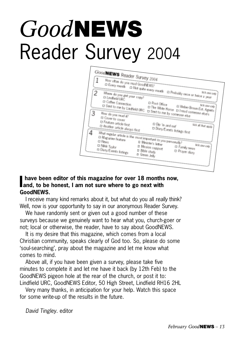# *Good***NEWS** Reader Survey 2004



#### **I** have been editor of this magazine for over 18 months<br>and, to be honest, I am not sure where to go next with **have been editor of this magazine for over 18 months now, GoodNEWS.**

I receive many kind remarks about it, but what do you all *really* think? Well, now is your opportunity to say in our anonymous Reader Survey.

We have randomly sent or given out a good number of these surveys because we genuinely want to hear what you, church-goer or not; local or otherwise, the reader, have to say about GoodNEWS.

It is my desire that this magazine, which comes from a local Christian community, speaks clearly of God too. So, please do some 'soul-searching', pray about the magazine and let me know what comes to mind.

Above all, if you have been given a survey, please take five minutes to complete it and let me have it back (by 12th Feb) to the GoodNEWS pigeon hole at the rear of the church, or post it to: Lindfield URC, GoodNEWS Editor, 50 High Street, Lindfield RH16 2HL

Very many thanks, in anticipation for your help. Watch this space for some write-up of the results in the future.

*David Tingley.* editor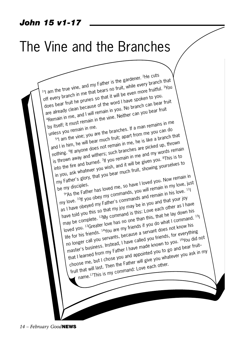### *John 15 v1-17*

## The Vine and the Branches

The cuts<br>I'l am the true vine, and my Father is the gardener. <sup>2</sup>He cuts<br>I'l am the true whip me that bears no finit, while every branc The and my Father is the gardener.<br>In am the true vine, and my Fathers no fruit, while every branch that<br>off every branch in me that bears no fruit will be even more fruitful. 3You does bear fruit he prunes so that it will be even more fruitful. 3You You are already clean because of the word I have spoken to you. loss bear fruit he prunes<br>loes bear fruit he prunes of the word I have sponton can bear fruit<br>are already clean because of the vine. Not branch can you bear fruit by itself; it must remain in the vine. Neither can you bear fruit unless you remain in me. Eself; it must refirem the contract is a man remains in me set of the branches. If a man remains in me set of the vine; you are the branches. If a man remains in me  $\frac{1}{2}$  am the vine; you are the branch function me yo and I in him, he will bear much fruit; apart from me you can do If any the vine; you are the truth in that sometime is the a branch that<br>and I in him, he will bear much fruit; apart from the is like a branch that<br>nothing. <sup>6</sup>If anyone does not remain in me, he is like a branch thrown<br>n is thrown away and withers; such branches are picked up, thrown s thrown away.<br>into the fire and burned.<sup>7</sup> If you remain in me and my words remain<br>If you remain in me and my words remain in you, ask whatever you wish, and it will be given you. 8This is to my Father's glory, that you bear much fruit, showing yourselves to<br>be my disciples. be my disciples.<br>
be my disciples.<br>
<sup>9</sup> As the Father has loved me, so have I loved you. The love, just<br>
11 with you obey my commands, you will remain in his love.<br>
11 with you obey my commands and remain in his love.<br>
12 or, and Salory, that you been.<br>Father's glory, that you been.<br>In disciples.<br>The Father has loved me, so have I loved you. Now remain in my love, i<sup>11</sup> as I have obeyed my Father's commands and remain in his love. 11 have told you this so that my joy may be in you and that your joy may be complete. <sup>12</sup>My command is this: Love each other as I have loved you. 13Greater love has no one than this, that he lay down his life for his friends. 14You are my friends if you do what I command. 15I no longer call you servants, because a servant does not know his master's business. Instead, I have called you friends, for everything that I learned from my Father I have made known to you. 16You did not choose me, but I chose you and appointed you to go and bear fruitfruit that will last. Then the Father will give you whatever you ask in my name.17This is my command: Love each other.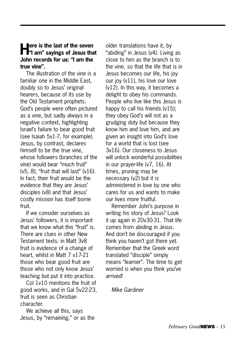## **Here is the last of the seven**<br>**Here** is a sayings of Jesus that **John records for us: "I am the true vine".**

The illustration of the vine is a familiar one in the Middle East, doubly so to Jesus' original hearers, because of its use by the Old Testament prophets. God's people were often pictured as a vine, but sadly always in a negative context, highlighting Israel's failure to bear good fruit (see Isaiah 5v1-7, for example). Jesus, by contrast, declares himself to be the true vine, whose followers (branches of the vine) would bear "much fruit" (v5, 8); "fruit that will last" (v16). In fact, their fruit would be the evidence that they are Jesus' disciples (v8) and that Jesus' costly mission has itself borne fruit.

If we consider ourselves as Jesus' followers, it is important that we know what this "fruit" is. There are clues in other New Testament texts: in Matt 3v8 fruit is evidence of a change of heart, whilst in Matt 7 v17-21 those who bear good fruit are those who not only know Jesus' teaching but put it into practice.

Col 1v10 mentions the fruit of good works, and in Gal 5v22-23, fruit is seen as Christian character.

We achieve all this, says Jesus, by "remaining," or as the older translations have it, by "abiding" in Jesus (v4). Living as close to him as the branch is to the vine, so that the life that is in Jesus becomes our life, his joy our joy (v11), his love our love (v12). In this way, it becomes a delight to obey his commands. People who live like this Jesus is happy to call his friends (v15); they obey God's will not as a grudging duty but because they know him and love him, and are given an insight into God's love for a world that is lost (see 3v16). Our closeness to Jesus will unlock wonderful possibilities in our prayer-life (v7, 16). At times, pruning may be necessary (v2) but it is administered in love by one who cares for us and wants to make our lives more fruitful.

Remember John's purpose in writing his story of Jesus? Look it up again in 20v30-31. That life comes from abiding in Jesus. And don't be discouraged if you think you haven't got there yet. Remember that the Greek word translated "disciple" simply means "learner". The time to get worried is when you think you've arrived!

*Mike Gardiner*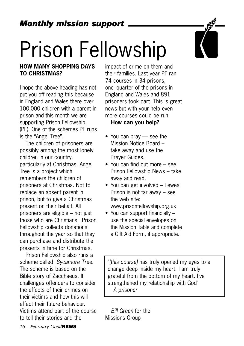# Prison Fellowship

### **HOW MANY SHOPPING DAYS TO CHRISTMAS?**

I hope the above heading has not put you off reading this because in England and Wales there over 100,000 children with a parent in prison and this month we are supporting Prison Fellowship (PF). One of the schemes PF runs is the "Angel Tree".

The children of prisoners are possibly among the most lonely children in our country, particularly at Christmas. Angel Tree is a project which remembers the children of prisoners at Christmas. Not to replace an absent parent in prison, but to give a Christmas present on their behalf. All prisoners are eligible – not just those who are Christians. Prison Fellowship collects donations throughout the year so that they can purchase and distribute the presents in time for Christmas.

Prison Fellowship also runs a scheme called *Sycamore Tree*. The scheme is based on the Bible story of Zacchaeus. It challenges offenders to consider the effects of their crimes on their victims and how this will effect their future behaviour. Victims attend part of the course to tell their stories and the

impact of crime on them and their families. Last year PF ran 74 courses in 34 prisons, one–quarter of the prisons in England and Wales and 891 prisoners took part. This is great news but with your help even more courses could be run.

#### **How can you help?**

- You can pray see the Mission Notice Board – take away and use the Prayer Guides.
- You can find out more see Prison Fellowship News – take away and read.
- You can get involved Lewes Prison is not far away – see the web site: www.prisonfellowship.org.uk
- You can support financially use the special envelopes on the Mission Table and complete a Gift Aid Form, if appropriate.

"*[this course]* has truly opened my eyes to a change deep inside my heart. I am truly grateful from the bottom of my heart. I've strengthened my relationship with God" *A prisoner*

*Bill Green* for the Missions Group

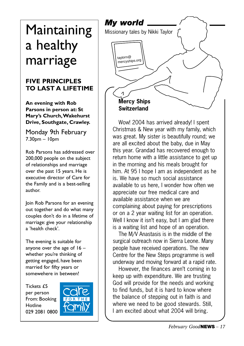# a healthy marriage

### **FIVE PRINCIPLES TO LAST A LIFETIME**

**An evening with Rob Parsons in person at: St Mary's Church,Wakehurst Drive, Southgate, Crawley.**

Monday 9th February 7.30pm – 10pm

Rob Parsons has addressed over 200,000 people on the subject of relationships and marriage over the past 15 years. He is executive director of Care for the Family and is a best-selling author.

Join Rob Parsons for an evening out together and do what many couples don't do in a lifetime of marriage: give your relationship a 'health check'.

The evening is suitable for anyone over the age of  $16$ whether you're thinking of getting engaged, have been married for fifty years or somewehere in between!

Tickets £5 per person From: Booking Hotline 029 2081 0800





Wow! 2004 has arrived already! I spent Christmas & New year with my family, which was great. My sister is beautifully round; we are all excited about the baby, due in May this year. Grandad has recovered enough to return home with a little assistance to get up in the morning and his meals brought for him. At 95 I hope I am as independent as he is. We have so much social assistance available to us here, I wonder how often we appreciate our free medical care and available assistance when we are complaining about paying for prescriptions or on a 2 year waiting list for an operation. Well I know it isn't easy, but I am glad there is a waiting list and hope of an operation.

The M/V Anastasis is in the middle of the surgical outreach now in Sierra Leone. Many people have received operations. The new Centre for the New Steps programme is well underway and moving forward at a rapid rate.

However, the finances aren't coming in to keep up with expenditure. We are trusting God will provide for the needs and working to find funds, but it is hard to know where the balance of stepping out in faith is and where we need to be good stewards. Still, I am excited about what 2004 will bring.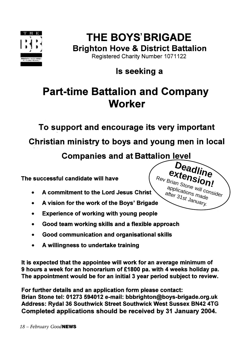

## **THE BOYS' BRIGADE Brighton Hove & District Battalion**

Registered Charity Number 1071122

## Is seeking a

## **Part-time Battalion and Company Worker**

To support and encourage its very important

Christian ministry to boys and young men in local

**Companies and at Battalion level** 

The successful candidate will have

- A commitment to the Lord Jesus Christ
- A vision for the work of the Boys' Brigade
- **Experience of working with young people**
- Good team working skills and a flexible approach
- Good communication and organisational skills
- A willingness to undertake training

It is expected that the appointee will work for an average minimum of 9 hours a week for an honorarium of £1800 pa. with 4 weeks holiday pa. The appointment would be for an initial 3 year period subject to review.

For further details and an application form please contact: Brian Stone tel: 01273 594012 e-mail: bbbrighton@boys-brigade.org.uk Address: Rydal 36 Southwick Street Southwick West Sussex BN42 4TG Completed applications should be received by 31 January 2004.

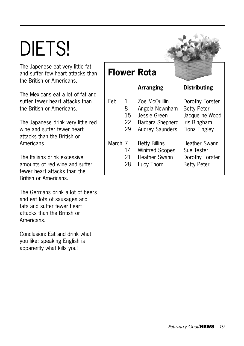# DIETS!

The Japenese eat very little fat and suffer few heart attacks than the British or Americans.

The Mexicans eat a lot of fat and suffer fewer heart attacks than the British or Americans.

The Japanese drink very little red wine and suffer fewer heart attacks than the British or Americans.

The Italians drink excessive amounts of red wine and suffer fewer heart attacks than the British or Americans.

The Germans drink a lot of beers and eat lots of sausages and fats and suffer fewer heart attacks than the British or Americans.

Conclusion: Eat and drink what you like; speaking English is apparently what kills you!